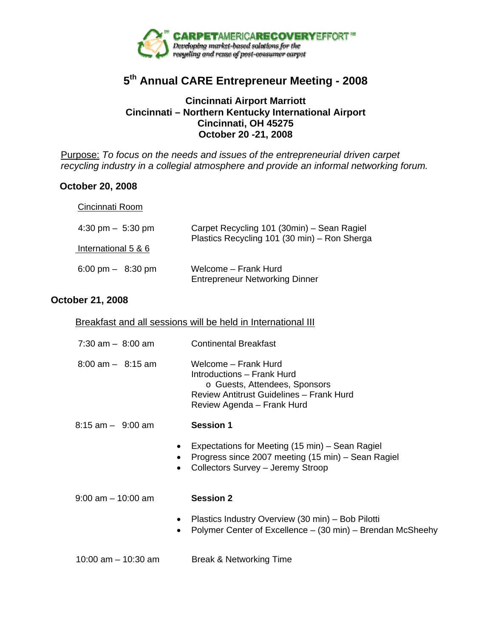

## **5th Annual CARE Entrepreneur Meeting - 2008**

## **Cincinnati Airport Marriott Cincinnati – Northern Kentucky International Airport Cincinnati, OH 45275 October 20 -21, 2008**

Purpose: *To focus on the needs and issues of the entrepreneurial driven carpet recycling industry in a collegial atmosphere and provide an informal networking forum.*

## **October 20, 2008**

| Cincinnati Room |
|-----------------|
|-----------------|

| $4:30 \text{ pm} - 5:30 \text{ pm}$ | Carpet Recycling 101 (30min) – Sean Ragiel                    |
|-------------------------------------|---------------------------------------------------------------|
| International 5 & 6                 | Plastics Recycling 101 (30 min) - Ron Sherga                  |
| 6:00 pm $-$ 8:30 pm                 | Welcome - Frank Hurd<br><b>Entrepreneur Networking Dinner</b> |

## **October 21, 2008**

|  | Breakfast and all sessions will be held in International III |
|--|--------------------------------------------------------------|
|  |                                                              |

| $7:30$ am $-$ 8:00 am | <b>Continental Breakfast</b>                                                                                                                                  |
|-----------------------|---------------------------------------------------------------------------------------------------------------------------------------------------------------|
| $8:00$ am $ 8:15$ am  | Welcome – Frank Hurd<br>Introductions - Frank Hurd<br>o Guests, Attendees, Sponsors<br>Review Antitrust Guidelines - Frank Hurd<br>Review Agenda - Frank Hurd |

- 8:15 am 9:00 am **Session 1** 
	- Expectations for Meeting (15 min) Sean Ragiel
	- Progress since 2007 meeting (15 min) Sean Ragiel
	- Collectors Survey Jeremy Stroop

9:00 am – 10:00 am **Session 2** 

- Plastics Industry Overview (30 min) Bob Pilotti
- Polymer Center of Excellence (30 min) Brendan McSheehy

10:00 am – 10:30 am Break & Networking Time